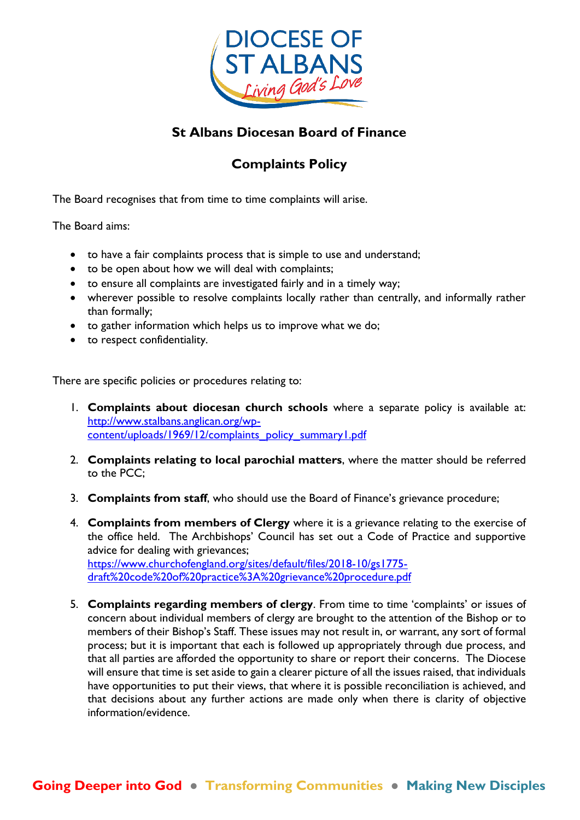

# **St Albans Diocesan Board of Finance**

# **Complaints Policy**

The Board recognises that from time to time complaints will arise.

The Board aims:

- to have a fair complaints process that is simple to use and understand;
- to be open about how we will deal with complaints;
- to ensure all complaints are investigated fairly and in a timely way;
- wherever possible to resolve complaints locally rather than centrally, and informally rather than formally;
- to gather information which helps us to improve what we do;
- to respect confidentiality.

There are specific policies or procedures relating to:

- 1. **Complaints about diocesan church schools** where a separate policy is available at: [http://www.stalbans.anglican.org/wp](http://www.stalbans.anglican.org/wp-content/uploads/1969/12/complaints_policy_summary1.pdf)[content/uploads/1969/12/complaints\\_policy\\_summary1.pdf](http://www.stalbans.anglican.org/wp-content/uploads/1969/12/complaints_policy_summary1.pdf)
- 2. **Complaints relating to local parochial matters**, where the matter should be referred to the PCC;
- 3. **Complaints from staff**, who should use the Board of Finance's grievance procedure;
- 4. **Complaints from members of Clergy** where it is a grievance relating to the exercise of the office held. The Archbishops' Council has set out a Code of Practice and supportive advice for dealing with grievances; [https://www.churchofengland.org/sites/default/files/2018-10/gs1775](https://www.churchofengland.org/sites/default/files/2018-10/gs1775-draft%20code%20of%20practice%3A%20grievance%20procedure.pdf) [draft%20code%20of%20practice%3A%20grievance%20procedure.pdf](https://www.churchofengland.org/sites/default/files/2018-10/gs1775-draft%20code%20of%20practice%3A%20grievance%20procedure.pdf)
- 5. **Complaints regarding members of clergy**. From time to time 'complaints' or issues of concern about individual members of clergy are brought to the attention of the Bishop or to members of their Bishop's Staff. These issues may not result in, or warrant, any sort of formal process; but it is important that each is followed up appropriately through due process, and that all parties are afforded the opportunity to share or report their concerns. The Diocese will ensure that time is set aside to gain a clearer picture of all the issues raised, that individuals have opportunities to put their views, that where it is possible reconciliation is achieved, and that decisions about any further actions are made only when there is clarity of objective information/evidence.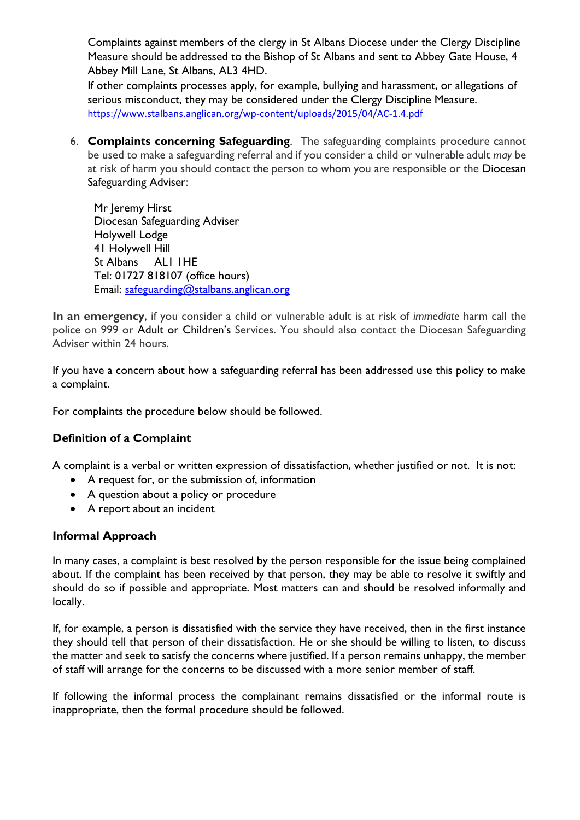Complaints against members of the clergy in St Albans Diocese under the Clergy Discipline Measure should be addressed to the Bishop of St Albans and sent to Abbey Gate House, 4 Abbey Mill Lane, St Albans, AL3 4HD.

If other complaints processes apply, for example, bullying and harassment, or allegations of serious misconduct, they may be considered under the Clergy Discipline Measure. <https://www.stalbans.anglican.org/wp-content/uploads/2015/04/AC-1.4.pdf>

6. **Complaints concerning Safeguarding**. The safeguarding complaints procedure cannot be used to make a safeguarding referral and if you consider a child or vulnerable adult *may* be at risk of harm you should contact the person to whom you are responsible or the [Diocesan](http://www.cofe-worcester.org.uk/people-and-places/diocesan-office/safeguarding-team/hilary-higton/)  [Safeguarding Adviser:](http://www.cofe-worcester.org.uk/people-and-places/diocesan-office/safeguarding-team/hilary-higton/)

Mr Jeremy Hirst Diocesan Safeguarding Adviser Holywell Lodge 41 Holywell Hill St Albans AL1 1HE Tel: 01727 818107 (office hours) Email: [safeguarding@stalbans.anglican.org](mailto:safeguarding@stalbans.anglican.org)

**In an emergency**, if you consider a child or vulnerable adult is at risk of *immediate* harm call the police on 999 or [Adult o](http://www.cofe-worcester.org.uk/diocesan-compendium/safeguarding/adults/#contact)r [Children's](http://www.cofe-worcester.org.uk/diocesan-compendium/safeguarding/safeguarding-children/#contact) Services. You should also contact the Diocesan Safeguarding Adviser within 24 hours.

If you have a concern about how a safeguarding referral has been addressed use this policy to make a complaint.

For complaints the procedure below should be followed.

### **Definition of a Complaint**

A complaint is a verbal or written expression of dissatisfaction, whether justified or not. It is not:

- A request for, or the submission of, information
- A question about a policy or procedure
- A report about an incident

### **Informal Approach**

In many cases, a complaint is best resolved by the person responsible for the issue being complained about. If the complaint has been received by that person, they may be able to resolve it swiftly and should do so if possible and appropriate. Most matters can and should be resolved informally and locally.

If, for example, a person is dissatisfied with the service they have received, then in the first instance they should tell that person of their dissatisfaction. He or she should be willing to listen, to discuss the matter and seek to satisfy the concerns where justified. If a person remains unhappy, the member of staff will arrange for the concerns to be discussed with a more senior member of staff.

If following the informal process the complainant remains dissatisfied or the informal route is inappropriate, then the formal procedure should be followed.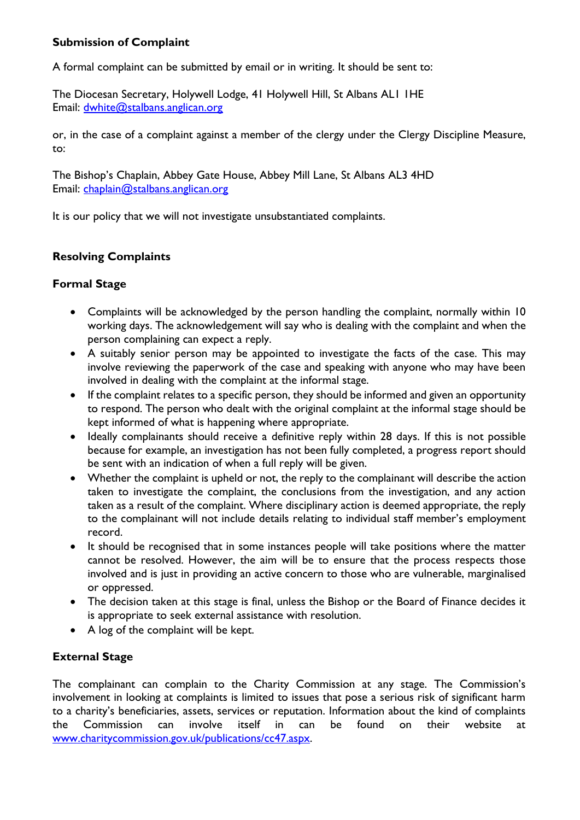# **Submission of Complaint**

A formal complaint can be submitted by email or in writing. It should be sent to:

The Diocesan Secretary, Holywell Lodge, 41 Holywell Hill, St Albans AL1 1HE Email: [dwhite@stalbans.anglican.org](mailto:dwhite@stalbans.anglican.org?subject=Complaint)

or, in the case of a complaint against a member of the clergy under the Clergy Discipline Measure, to:

The Bishop's Chaplain, Abbey Gate House, Abbey Mill Lane, St Albans AL3 4HD Email: [chaplain@stalbans.anglican.org](mailto:chaplain@stalbans.anglican.org?subject=Complaint)

It is our policy that we will not investigate unsubstantiated complaints.

# **Resolving Complaints**

### **Formal Stage**

- Complaints will be acknowledged by the person handling the complaint, normally within 10 working days. The acknowledgement will say who is dealing with the complaint and when the person complaining can expect a reply.
- A suitably senior person may be appointed to investigate the facts of the case. This may involve reviewing the paperwork of the case and speaking with anyone who may have been involved in dealing with the complaint at the informal stage.
- If the complaint relates to a specific person, they should be informed and given an opportunity to respond. The person who dealt with the original complaint at the informal stage should be kept informed of what is happening where appropriate.
- Ideally complainants should receive a definitive reply within 28 days. If this is not possible because for example, an investigation has not been fully completed, a progress report should be sent with an indication of when a full reply will be given.
- Whether the complaint is upheld or not, the reply to the complainant will describe the action taken to investigate the complaint, the conclusions from the investigation, and any action taken as a result of the complaint. Where disciplinary action is deemed appropriate, the reply to the complainant will not include details relating to individual staff member's employment record.
- It should be recognised that in some instances people will take positions where the matter cannot be resolved. However, the aim will be to ensure that the process respects those involved and is just in providing an active concern to those who are vulnerable, marginalised or oppressed.
- The decision taken at this stage is final, unless the Bishop or the Board of Finance decides it is appropriate to seek external assistance with resolution.
- A log of the complaint will be kept.

# **External Stage**

The complainant can complain to the Charity Commission at any stage. The Commission's involvement in looking at complaints is limited to issues that pose a serious risk of significant harm to a charity's beneficiaries, assets, services or reputation. Information about the kind of complaints the Commission can involve itself in can be found on their website at [www.charitycommission.gov.uk/publications/cc47.aspx.](http://www.charitycommission.gov.uk/publications/cc47.aspx)